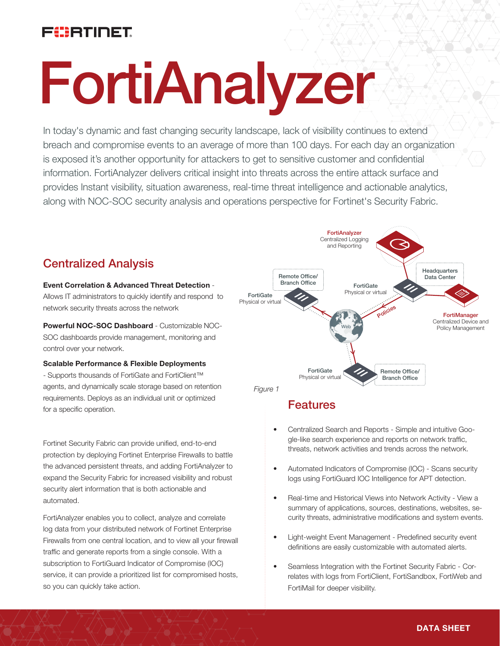# FUERTINET

# FortiAnalyzer

In today's dynamic and fast changing security landscape, lack of visibility continues to extend breach and compromise events to an average of more than 100 days. For each day an organization is exposed it's another opportunity for attackers to get to sensitive customer and confidential information. FortiAnalyzer delivers critical insight into threats across the entire attack surface and provides Instant visibility, situation awareness, real-time threat intelligence and actionable analytics, along with NOC-SOC security analysis and operations perspective for Fortinet's Security Fabric.

## Centralized Analysis

#### Event Correlation & Advanced Threat Detection -

Allows IT administrators to quickly identify and respond to network security threats across the network

Powerful NOC-SOC Dashboard - Customizable NOC-SOC dashboards provide management, monitoring and control over your network.

Scalable Performance & Flexible Deployments - Supports thousands of FortiGate and FortiClient™ agents, and dynamically scale storage based on retention requirements. Deploys as an individual unit or optimized for a specific operation.

Fortinet Security Fabric can provide unified, end-to-end protection by deploying Fortinet Enterprise Firewalls to battle the advanced persistent threats, and adding FortiAnalyzer to expand the Security Fabric for increased visibility and robust security alert information that is both actionable and automated.

FortiAnalyzer enables you to collect, analyze and correlate log data from your distributed network of Fortinet Enterprise Firewalls from one central location, and to view all your firewall traffic and generate reports from a single console. With a subscription to FortiGuard Indicator of Compromise (IOC) service, it can provide a prioritized list for compromised hosts, so you can quickly take action.



## Features

- Centralized Search and Reports Simple and intuitive Google-like search experience and reports on network traffic, threats, network activities and trends across the network.
- Automated Indicators of Compromise (IOC) Scans security logs using FortiGuard IOC Intelligence for APT detection.
- Real-time and Historical Views into Network Activity View a summary of applications, sources, destinations, websites, security threats, administrative modifications and system events.
- Light-weight Event Management Predefined security event definitions are easily customizable with automated alerts.
- Seamless Integration with the Fortinet Security Fabric Correlates with logs from FortiClient, FortiSandbox, FortiWeb and FortiMail for deeper visibility.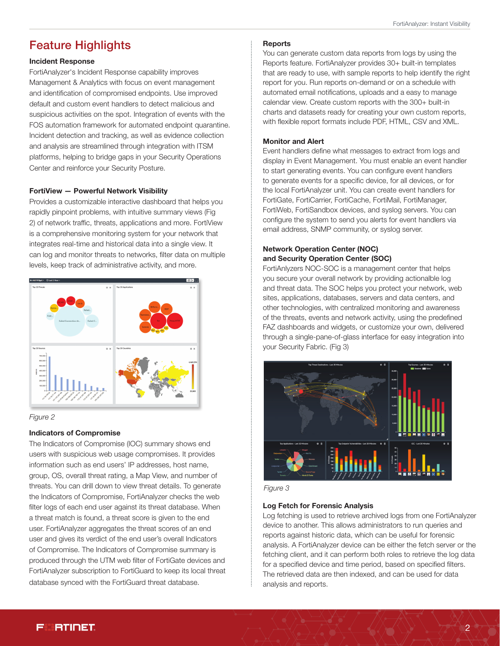## Feature Highlights

#### Incident Response

FortiAnalyzer's Incident Response capability improves Management & Analytics with focus on event management and identification of compromised endpoints. Use improved default and custom event handlers to detect malicious and suspicious activities on the spot. Integration of events with the FOS automation framework for automated endpoint quarantine. Incident detection and tracking, as well as evidence collection and analysis are streamlined through integration with ITSM platforms, helping to bridge gaps in your Security Operations Center and reinforce your Security Posture.

#### FortiView — Powerful Network Visibility

Provides a customizable interactive dashboard that helps you rapidly pinpoint problems, with intuitive summary views (Fig 2) of network traffic, threats, applications and more. FortiView is a comprehensive monitoring system for your network that integrates real-time and historical data into a single view. It can log and monitor threats to networks, filter data on multiple levels, keep track of administrative activity, and more.





#### Indicators of Compromise

The Indicators of Compromise (IOC) summary shows end users with suspicious web usage compromises. It provides information such as end users' IP addresses, host name, group, OS, overall threat rating, a Map View, and number of threats. You can drill down to view threat details. To generate the Indicators of Compromise, FortiAnalyzer checks the web filter logs of each end user against its threat database. When a threat match is found, a threat score is given to the end user. FortiAnalyzer aggregates the threat scores of an end user and gives its verdict of the end user's overall Indicators of Compromise. The Indicators of Compromise summary is produced through the UTM web filter of FortiGate devices and FortiAnalyzer subscription to FortiGuard to keep its local threat database synced with the FortiGuard threat database.

#### **Reports**

You can generate custom data reports from logs by using the Reports feature. FortiAnalyzer provides 30+ built-in templates that are ready to use, with sample reports to help identify the right report for you. Run reports on-demand or on a schedule with automated email notifications, uploads and a easy to manage calendar view. Create custom reports with the 300+ built-in charts and datasets ready for creating your own custom reports, with flexible report formats include PDF, HTML, CSV and XML.

#### Monitor and Alert

Event handlers define what messages to extract from logs and display in Event Management. You must enable an event handler to start generating events. You can configure event handlers to generate events for a specific device, for all devices, or for the local FortiAnalyzer unit. You can create event handlers for FortiGate, FortiCarrier, FortiCache, FortiMail, FortiManager, FortiWeb, FortiSandbox devices, and syslog servers. You can configure the system to send you alerts for event handlers via email address, SNMP community, or syslog server.

#### Network Operation Center (NOC) and Security Operation Center (SOC)

FortiAnlyzers NOC-SOC is a management center that helps you secure your overall network by providing actionalble log and threat data. The SOC helps you protect your network, web sites, applications, databases, servers and data centers, and other technologies, with centralized monitoring and awareness of the threats, events and network activity, using the predefined FAZ dashboards and widgets, or customize your own, delivered through a single-pane-of-glass interface for easy integration into your Security Fabric. (Fig 3)





#### Log Fetch for Forensic Analysis

Log fetching is used to retrieve archived logs from one FortiAnalyzer device to another. This allows administrators to run queries and reports against historic data, which can be useful for forensic analysis. A FortiAnalyzer device can be either the fetch server or the fetching client, and it can perform both roles to retrieve the log data for a specified device and time period, based on specified filters. The retrieved data are then indexed, and can be used for data analysis and reports.

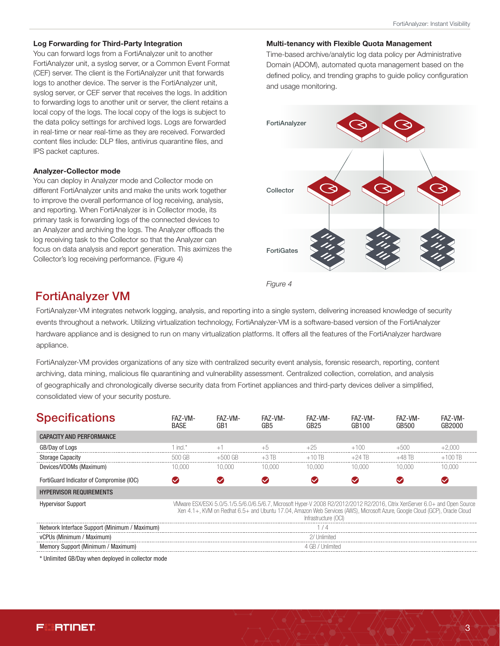#### Log Forwarding for Third-Party Integration

You can forward logs from a FortiAnalyzer unit to another FortiAnalyzer unit, a syslog server, or a Common Event Format (CEF) server. The client is the FortiAnalyzer unit that forwards logs to another device. The server is the FortiAnalyzer unit, syslog server, or CEF server that receives the logs. In addition to forwarding logs to another unit or server, the client retains a local copy of the logs. The local copy of the logs is subject to the data policy settings for archived logs. Logs are forwarded in real-time or near real-time as they are received. Forwarded content files include: DLP files, antivirus quarantine files, and IPS packet captures.

#### Analyzer-Collector mode

You can deploy in Analyzer mode and Collector mode on different FortiAnalyzer units and make the units work together to improve the overall performance of log receiving, analysis, and reporting. When FortiAnalyzer is in Collector mode, its primary task is forwarding logs of the connected devices to an Analyzer and archiving the logs. The Analyzer offloads the log receiving task to the Collector so that the Analyzer can focus on data analysis and report generation. This aximizes the Collector's log receiving performance. (Figure 4)

#### Multi-tenancy with Flexible Quota Management

Time-based archive/analytic log data policy per Administrative Domain (ADOM), automated quota management based on the defined policy, and trending graphs to guide policy configuration and usage monitoring.



*Figure 4*

### FortiAnalyzer VM

FortiAnalyzer-VM integrates network logging, analysis, and reporting into a single system, delivering increased knowledge of security events throughout a network. Utilizing virtualization technology, FortiAnalyzer-VM is a software-based version of the FortiAnalyzer hardware appliance and is designed to run on many virtualization platforms. It offers all the features of the FortiAnalyzer hardware appliance.

FortiAnalyzer-VM provides organizations of any size with centralized security event analysis, forensic research, reporting, content archiving, data mining, malicious file quarantining and vulnerability assessment. Centralized collection, correlation, and analysis of geographically and chronologically diverse security data from Fortinet appliances and third-party devices deliver a simplified, consolidated view of your security posture.

| <b>Specifications</b>                         | FA7-VM-<br><b>BASF</b> | FA7-VM-<br>GB1 | FA7-VM-<br>GB5 | FA7-VM-<br>GB25      | FA7-VM-<br>GB100                                                                                                            | FA7-VM-<br>GB500 | FA7-VM-<br>GR2000                                                                                                           |
|-----------------------------------------------|------------------------|----------------|----------------|----------------------|-----------------------------------------------------------------------------------------------------------------------------|------------------|-----------------------------------------------------------------------------------------------------------------------------|
| <b>CAPACITY AND PERFORMANCE</b>               |                        |                |                |                      |                                                                                                                             |                  |                                                                                                                             |
| GB/Day of Logs                                | incl *                 |                | $+5$           |                      |                                                                                                                             | +500             |                                                                                                                             |
| <b>Storage Capacity</b>                       | 500 GB                 | +500 GB        | $+3$ TB.       | $+10$ TR             | +24 IB                                                                                                                      | +48 TR           | $+100$ TR                                                                                                                   |
| Devices/VDOMs (Maximum)                       | 10.000                 | 10.000         | 10.000         | 10.000               | 10.000                                                                                                                      | 10.000           | 10.000                                                                                                                      |
| FortiGuard Indicator of Compromise (IOC)      |                        |                |                |                      |                                                                                                                             |                  |                                                                                                                             |
| <b>HYPERVISOR REQUIREMENTS</b>                |                        |                |                |                      |                                                                                                                             |                  |                                                                                                                             |
| <b>Hypervisor Support</b>                     |                        |                |                | Infrastructure (OCI) | Xen 4.1+, KVM on Redhat 6.5+ and Ubuntu 17.04, Amazon Web Services (AWS), Microsoft Azure, Google Cloud (GCP), Oracle Cloud |                  | VMware ESX/ESXi 5.0/5.1/5.5/6.0/6.5/6.7, Microsoft Hyper-V 2008 R2/2012/2012 R2/2016, Citrix XenServer 6.0+ and Open Source |
| Network Interface Support (Minimum / Maximum) |                        |                |                |                      |                                                                                                                             |                  |                                                                                                                             |
| vCPUs (Minimum / Maximum)                     |                        |                |                | 27 I Inlimitec       |                                                                                                                             |                  |                                                                                                                             |

Memory Support (Minimum / Maximum) and the state of the state of the state of the state of GB / Unlimited

\* Unlimited GB/Day when deployed in collector mode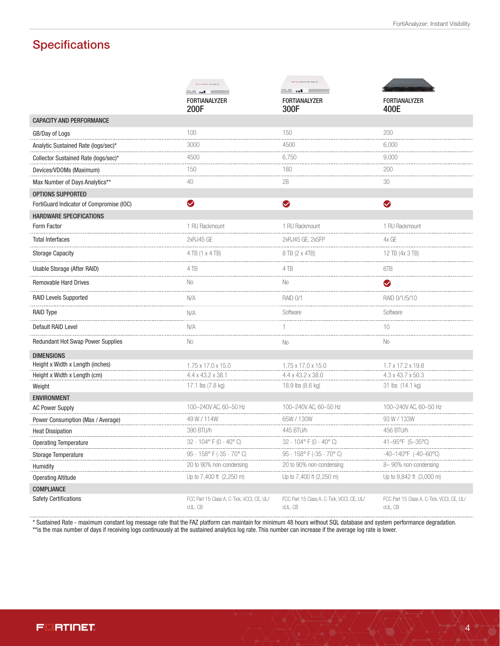# **Specifications**

|                                                                                                                                                                                                                                     | <b>CONTINUE</b>                                             | <b>CONTINUE</b><br>M∭∷ = a∎                           |                                                       |
|-------------------------------------------------------------------------------------------------------------------------------------------------------------------------------------------------------------------------------------|-------------------------------------------------------------|-------------------------------------------------------|-------------------------------------------------------|
|                                                                                                                                                                                                                                     | <b>Market Street</b><br><b>FORTIANALYZER</b><br><b>200F</b> | <b>FORTIANALYZER</b><br>300F                          | <b>FORTIANALYZER</b><br>400E                          |
| <b>CAPACITY AND PERFORMANCE</b>                                                                                                                                                                                                     |                                                             |                                                       |                                                       |
| GB/Day of Logs                                                                                                                                                                                                                      | 100                                                         | 150                                                   | 200                                                   |
| Analytic Sustained Rate (logs/sec)*                                                                                                                                                                                                 | 3000                                                        | 4500                                                  | 6,000                                                 |
| Collector Sustained Rate (logs/sec)*                                                                                                                                                                                                | 4500                                                        | 6,750                                                 | 9,000                                                 |
| Devices/VDOMs (Maximum)                                                                                                                                                                                                             | 150                                                         | 180                                                   | 200                                                   |
| Max Number of Days Analytics**                                                                                                                                                                                                      | 40                                                          | 28                                                    | 30                                                    |
| OPTIONS SUPPORTED                                                                                                                                                                                                                   |                                                             |                                                       |                                                       |
| FortiGuard Indicator of Compromise (IOC)                                                                                                                                                                                            | ❤                                                           | ◙                                                     | $\bullet$                                             |
| <b>HARDWARE SPECIFICATIONS</b>                                                                                                                                                                                                      |                                                             |                                                       |                                                       |
| Form Factor                                                                                                                                                                                                                         | 1 RU Rackmount                                              | 1 RU Rackmount                                        | 1 RU Rackmount                                        |
| <b>Total Interfaces</b>                                                                                                                                                                                                             | 2xRJ45 GE                                                   | 2xRJ45 GE, 2xSFP                                      | 4x GF                                                 |
| <b>Storage Capacity</b>                                                                                                                                                                                                             | 4 TB (1 x 4 TB)                                             | 8 TB (2 x 4TB)                                        | 12 TB (4x 3 TB)                                       |
| Usable Storage (After RAID)                                                                                                                                                                                                         | 4 TB                                                        | 4TB                                                   | 6T <sub>B</sub>                                       |
| <b>Removable Hard Drives</b>                                                                                                                                                                                                        | No                                                          | No                                                    | ◙                                                     |
| <b>RAID Levels Supported</b>                                                                                                                                                                                                        | N/A                                                         | <b>RAID 0/1</b>                                       | RAID 0/1/5/10                                         |
| <b>RAID Type</b>                                                                                                                                                                                                                    | N/A                                                         | Software                                              | Software                                              |
| Default RAID Level                                                                                                                                                                                                                  | N/A                                                         |                                                       | 10                                                    |
| Redundant Hot Swap Power Supplies                                                                                                                                                                                                   | No                                                          | No                                                    | No                                                    |
| <b>DIMENSIONS</b>                                                                                                                                                                                                                   |                                                             |                                                       |                                                       |
| Height x Width x Length (inches)                                                                                                                                                                                                    | 1.75 x 17.0 x 15.0                                          | 1.75 x 17.0 x 15.0                                    | 1.7 x 17.2 x 19.8                                     |
| Height x Width x Length (cm)                                                                                                                                                                                                        | 4.4 x 43.2 x 38.1                                           | 4.4 x 43.2 x 38.0                                     | 4.3 x 43.7 x 50.3                                     |
| Weight                                                                                                                                                                                                                              | 17.1 lbs (7.8 kg)                                           | 18.9 lbs (8.6 kg)                                     | 31 lbs (14.1 kg)                                      |
| <b>ENVIRONMENT</b>                                                                                                                                                                                                                  | 100-240V AC, 60-50 Hz                                       | 100-240V AC, 60-50 Hz                                 | 100-240V AC, 60-50 Hz                                 |
| <b>AC Power Supply</b>                                                                                                                                                                                                              | 49 W / 114W                                                 | 65W / 130W                                            | 93 W / 133W                                           |
| Power Consumption (Max / Average)<br><b>Heat Dissipation</b>                                                                                                                                                                        | 390 BTU/h                                                   | 445 BTU/h                                             | 456 BTU/h                                             |
|                                                                                                                                                                                                                                     | 32 - 104° F (0 - 40° C)                                     | 32 - 104° F (0 - 40° C)                               | 41-95°F (5-35°C)                                      |
| $32 - 104^{\circ} F (0 - 40^{\circ} C) \hspace{3.2cm} 32 - 104^{\circ} F (0 - 40^{\circ} C) \hspace{3.2cm} 32 - 104^{\circ} F (0 - 40^{\circ} C) \hspace{3.2cm} 41 - 95^{\circ} F (5 - 35^{\circ} C)$<br><b>Storage Temperature</b> | 95 - 158° F (-35 - 70° C)                                   | 95 - 158° F (-35 - 70° C)                             | $-40-140$ °F (-40-60°C)                               |
|                                                                                                                                                                                                                                     | 20 to 90% non-condensing                                    | 20 to 90% non-condensing                              | 8-90% non-condensing                                  |
| Humidity<br><b>Operating Altitude</b>                                                                                                                                                                                               | Up to 7,400 ft (2,250 m)                                    | Up to 7,400 ft (2,250 m)                              | Up to 9,842 ft (3,000 m)                              |
| <b>COMPLIANCE</b>                                                                                                                                                                                                                   |                                                             |                                                       |                                                       |
| <b>Safety Certifications</b>                                                                                                                                                                                                        | FCC Part 15 Class A, C-Tick, VCCI, CE, UL/<br>cUL, CB       | FCC Part 15 Class A, C-Tick, VCCI, CE, UL/<br>cUL, CB | FCC Part 15 Class A, C-Tick, VCCI, CE, UL/<br>cUL, CB |

\* Sustained Rate - maximum constant log message rate that the FAZ platform can maintain for minimum 48 hours without SQL database and system performance degradation. \*\*is the max number of days if receiving logs continuously at the sustained analytics log rate. This number can increase if the average log rate is lower.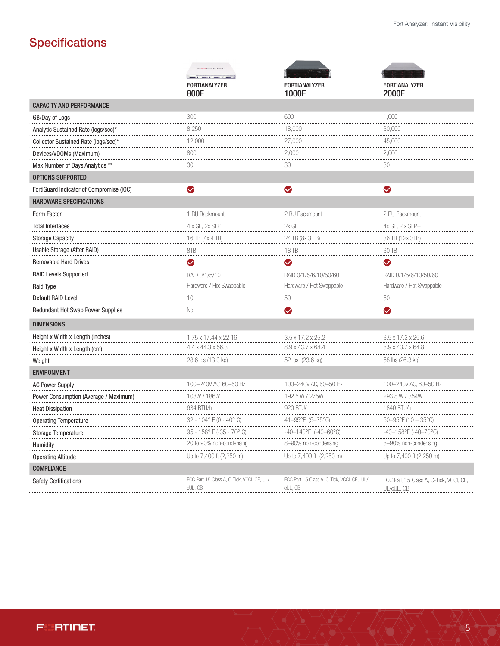# **Specifications**

|                                          | montaneo                                                                |                                                       |                                                      |
|------------------------------------------|-------------------------------------------------------------------------|-------------------------------------------------------|------------------------------------------------------|
|                                          | seems \$1 month \$1 month \$1 month \$1<br><b>FORTIANALYZER</b><br>800F | <b>FORTIANALYZER</b><br>1000E                         | <b>FORTIANALYZER</b><br>2000E                        |
| <b>CAPACITY AND PERFORMANCE</b>          |                                                                         |                                                       |                                                      |
| GB/Day of Logs                           | 300                                                                     | 600                                                   | 1.000                                                |
| Analytic Sustained Rate (logs/sec)*      | 8,250                                                                   | 18,000                                                | 30,000                                               |
| Collector Sustained Rate (logs/sec)*     | 12,000                                                                  | 27,000                                                | 45,000                                               |
| Devices/VDOMs (Maximum)                  | 800                                                                     | 2,000                                                 | 2,000                                                |
| Max Number of Days Analytics **          | 30                                                                      | 30                                                    | 30                                                   |
| <b>OPTIONS SUPPORTED</b>                 |                                                                         |                                                       |                                                      |
| FortiGuard Indicator of Compromise (IOC) | $\bullet$                                                               | ◙                                                     | $\bullet$                                            |
| <b>HARDWARE SPECIFICATIONS</b>           |                                                                         |                                                       |                                                      |
| Form Factor                              | 1 RU Rackmount                                                          | 2 RU Rackmount                                        | 2 RU Rackmount                                       |
| <b>Total Interfaces</b>                  | 4 x GE, 2x SFP                                                          | 2x GE                                                 | 4x GE, 2 x SFP+                                      |
| <b>Storage Capacity</b>                  | 16 TB (4x 4 TB)                                                         | 24 TB (8x 3 TB)                                       | 36 TB (12x 3TB)                                      |
| Usable Storage (After RAID)              | 8TB                                                                     | 18 TB                                                 | 30 TB                                                |
| <b>Removable Hard Drives</b>             | $\bullet$                                                               | ❤                                                     | ❤                                                    |
| <b>RAID Levels Supported</b>             | RAID 0/1/5/10                                                           | RAID 0/1/5/6/10/50/60                                 | RAID 0/1/5/6/10/50/60                                |
| Raid Type                                | Hardware / Hot Swappable                                                | Hardware / Hot Swappable                              | Hardware / Hot Swappable                             |
| Default RAID Level                       | 10                                                                      | 50                                                    | 50                                                   |
| Redundant Hot Swap Power Supplies        | No                                                                      | Ø                                                     | Ø                                                    |
| <b>DIMENSIONS</b>                        |                                                                         |                                                       |                                                      |
| Height x Width x Length (inches)         | 1.75 x 17.44 x 22.16                                                    | 3.5 x 17.2 x 25.2                                     | 3.5 x 17.2 x 25.6                                    |
| Height x Width x Length (cm)             | 4.4 x 44.3 x 56.3                                                       | 8.9 x 43.7 x 68.4                                     | 8.9 x 43.7 x 64.8                                    |
| Weight                                   | 28.6 lbs (13.0 kg)                                                      | 52 lbs (23.6 kg)                                      | 58 lbs (26.3 kg)                                     |
| <b>ENVIRONMENT</b>                       |                                                                         |                                                       |                                                      |
| <b>AC Power Supply</b>                   | 100-240V AC, 60-50 Hz                                                   | 100-240V AC, 60-50 Hz                                 | 100-240V AC, 60-50 Hz                                |
| Power Consumption (Average / Maximum)    | 108W / 186W                                                             | 192.5 W / 275W                                        | 293.8 W / 354W                                       |
| <b>Heat Dissipation</b>                  | 634 BTU/h                                                               | 920 BTU/h                                             | 1840 BTU/h                                           |
| <b>Operating Temperature</b>             | 32 - 104° F (0 - 40° C)                                                 | 41-95°F (5-35°C)                                      | $50 - 95$ °F (10 - 35°C)                             |
| <b>Storage Temperature</b>               | 95 - 158° F (-35 - 70° C)                                               | $-40-140^{\circ}F$ (-40-60°C)                         | $-40-158$ °F (-40-70°C)                              |
| Humidity                                 | 20 to 90% non-condensing                                                | 8-90% non-condensing                                  | 8-90% non-condensing                                 |
| <b>Operating Altitude</b>                | Up to 7,400 ft (2,250 m)                                                | Up to $7,400$ ft $(2,250 \text{ m})$                  | Up to 7,400 ft (2,250 m)                             |
| <b>COMPLIANCE</b>                        |                                                                         |                                                       |                                                      |
| <b>Safety Certifications</b>             | FCC Part 15 Class A, C-Tick, VCCI, CE, UL/<br>cUL, CB                   | FCC Part 15 Class A, C-Tick, VCCI, CE, UL/<br>cUL, CB | FCC Part 15 Class A, C-Tick, VCCI, CE,<br>UL/cUL, CB |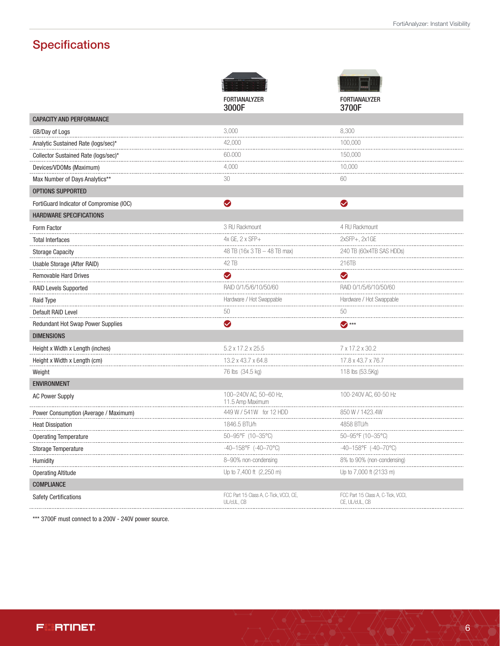# **Specifications**

|                                          | <b>FORTIANALYZER</b>                                 | <b>FORTIANALYZER</b>                                 |
|------------------------------------------|------------------------------------------------------|------------------------------------------------------|
|                                          | 3000F                                                | 3700F                                                |
| <b>CAPACITY AND PERFORMANCE</b>          |                                                      |                                                      |
| GB/Day of Logs                           | 3,000                                                | 8,300                                                |
| Analytic Sustained Rate (logs/sec)*      | 42,000                                               | 100.000                                              |
| Collector Sustained Rate (logs/sec)*     | 60,000                                               | 150,000                                              |
| Devices/VDOMs (Maximum)                  | 4,000                                                | 10,000                                               |
| Max Number of Days Analytics**           | 30                                                   | 60                                                   |
| OPTIONS SUPPORTED                        |                                                      |                                                      |
| FortiGuard Indicator of Compromise (IOC) | ◙                                                    | ◙                                                    |
| <b>HARDWARE SPECIFICATIONS</b>           |                                                      |                                                      |
| Form Factor                              | 3 RU Rackmount                                       | 4 RU Rackmount                                       |
| <b>Total Interfaces</b>                  | 4x GE, 2 x SFP+                                      | 2xSFP+, 2x1GE                                        |
| <b>Storage Capacity</b>                  | 48 TB (16x 3 TB - 48 TB max)                         | 240 TB (60x4TB SAS HDDs)                             |
| Usable Storage (After RAID)              | 42 TB                                                | 216TB                                                |
| <b>Removable Hard Drives</b>             | $\bullet$                                            | Ø                                                    |
| <b>RAID Levels Supported</b>             | RAID 0/1/5/6/10/50/60                                | RAID 0/1/5/6/10/50/60                                |
| <b>Raid Type</b>                         | Hardware / Hot Swappable                             | Hardware / Hot Swappable                             |
| Default RAID Level                       | 50                                                   | 50                                                   |
| Redundant Hot Swap Power Supplies        | V                                                    | $\bullet$ ***                                        |
| <b>DIMENSIONS</b>                        |                                                      |                                                      |
| Height x Width x Length (inches)         | 5.2 x 17.2 x 25.5                                    | 7 x 17.2 x 30.2                                      |
| Height x Width x Length (cm)             | 13.2 x 43.7 x 64.8                                   | 17.8 x 43.7 x 76.7                                   |
| Weight                                   | 76 lbs (34.5 kg)                                     | 118 lbs (53.5Kg)                                     |
| <b>ENVIRONMENT</b>                       |                                                      |                                                      |
| <b>AC Power Supply</b>                   | 100-240V AC, 50-60 Hz,<br>11.5 Amp Maximum           | 100-240V AC, 60-50 Hz                                |
| Power Consumption (Average / Maximum)    | 449 W / 541W for 12 HDD                              | 850 W / 1423.4W                                      |
| <b>Heat Dissipation</b>                  | 1846.5 BTU/h                                         | 4858 BTU/h                                           |
| <b>Operating Temperature</b>             | 50-95°F (10-35°C)                                    | 50-95°F (10-35°C)                                    |
| Storage Temperature                      | -40-158°F (-40-70°C)                                 | $-40-158$ °F (-40-70°C)                              |
| Humidity                                 | 8-90% non-condensing                                 | 8% to 90% (non-condensing)                           |
| <b>Operating Altitude</b>                | Up to 7,400 ft (2,250 m)                             | Up to 7,000 ft (2133 m)                              |
| <b>COMPLIANCE</b>                        |                                                      |                                                      |
| <b>Safety Certifications</b>             | FCC Part 15 Class A, C-Tick, VCCI, CE,<br>UL/cUL, CB | FCC Part 15 Class A, C-Tick, VCCI,<br>CE, UL/cUL, CB |

\*\*\* 3700F must connect to a 200V - 240V power source.